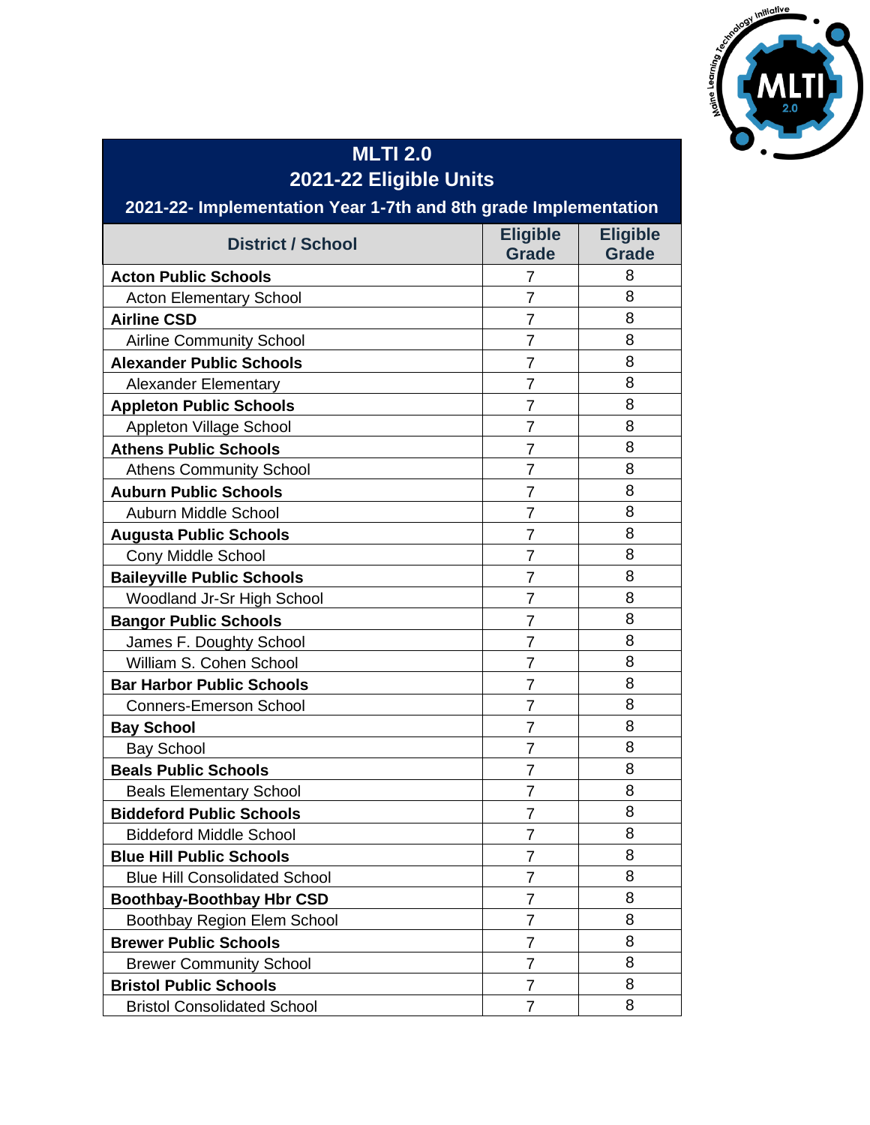

## **MLTI 2.0 2021-22 Eligible Units**

| 2021-22- Implementation Year 1-7th and 8th grade Implementation |                                 |                                 |
|-----------------------------------------------------------------|---------------------------------|---------------------------------|
| <b>District / School</b>                                        | <b>Eligible</b><br><b>Grade</b> | <b>Eligible</b><br><b>Grade</b> |
| <b>Acton Public Schools</b>                                     | 7                               | 8                               |
| <b>Acton Elementary School</b>                                  | $\overline{7}$                  | 8                               |
| <b>Airline CSD</b>                                              | $\overline{7}$                  | 8                               |
| <b>Airline Community School</b>                                 | $\overline{7}$                  | 8                               |
| <b>Alexander Public Schools</b>                                 | $\overline{7}$                  | 8                               |
| <b>Alexander Elementary</b>                                     | $\overline{7}$                  | 8                               |
| <b>Appleton Public Schools</b>                                  | $\overline{7}$                  | 8                               |
| Appleton Village School                                         | $\overline{7}$                  | 8                               |
| <b>Athens Public Schools</b>                                    | $\overline{7}$                  | 8                               |
| <b>Athens Community School</b>                                  | $\overline{7}$                  | 8                               |
| <b>Auburn Public Schools</b>                                    | 7                               | 8                               |
| Auburn Middle School                                            | $\overline{7}$                  | 8                               |
| <b>Augusta Public Schools</b>                                   | 7                               | 8                               |
| Cony Middle School                                              | $\overline{7}$                  | 8                               |
| <b>Baileyville Public Schools</b>                               | $\overline{7}$                  | 8                               |
| Woodland Jr-Sr High School                                      | $\overline{7}$                  | 8                               |
| <b>Bangor Public Schools</b>                                    | $\overline{7}$                  | 8                               |
| James F. Doughty School                                         | $\overline{7}$                  | 8                               |
| William S. Cohen School                                         | 7                               | 8                               |
| <b>Bar Harbor Public Schools</b>                                | $\overline{7}$                  | 8                               |
| <b>Conners-Emerson School</b>                                   | $\overline{7}$                  | 8                               |
| <b>Bay School</b>                                               | 7                               | 8                               |
| <b>Bay School</b>                                               | $\overline{7}$                  | 8                               |
| <b>Beals Public Schools</b>                                     | $\overline{7}$                  | 8                               |
| <b>Beals Elementary School</b>                                  | $\overline{7}$                  | 8                               |
| <b>Biddeford Public Schools</b>                                 | 7                               | 8                               |
| <b>Biddeford Middle School</b>                                  | 7                               | 8                               |
| <b>Blue Hill Public Schools</b>                                 | $\overline{7}$                  | 8                               |
| <b>Blue Hill Consolidated School</b>                            | 7                               | 8                               |
| <b>Boothbay-Boothbay Hbr CSD</b>                                | 7                               | 8                               |
| Boothbay Region Elem School                                     | 7                               | 8                               |
| <b>Brewer Public Schools</b>                                    | 7                               | 8                               |
| <b>Brewer Community School</b>                                  | $\overline{7}$                  | 8                               |
| <b>Bristol Public Schools</b>                                   | $\overline{7}$                  | 8                               |
| <b>Bristol Consolidated School</b>                              | 7                               | 8                               |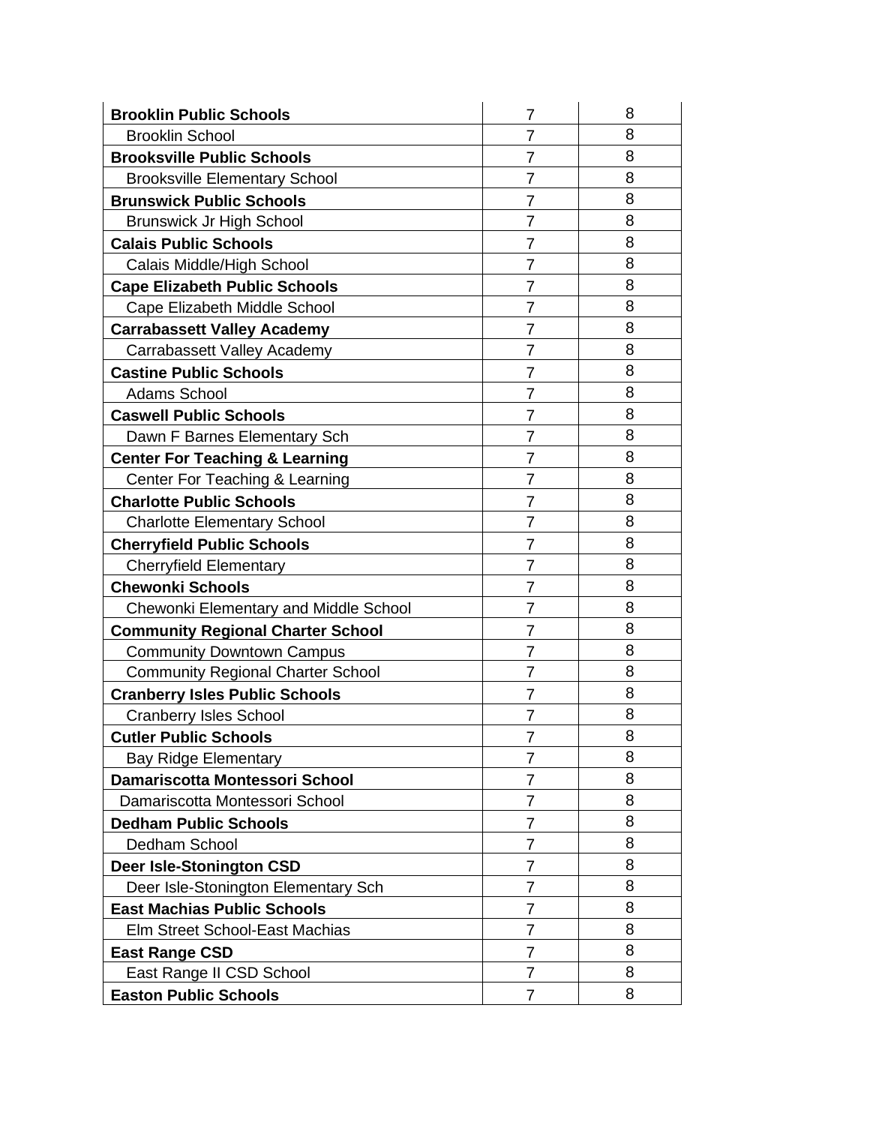| <b>Brooklin Public Schools</b>            | $\overline{7}$ | 8 |
|-------------------------------------------|----------------|---|
| <b>Brooklin School</b>                    | $\overline{7}$ | 8 |
| <b>Brooksville Public Schools</b>         | $\overline{7}$ | 8 |
| <b>Brooksville Elementary School</b>      | $\overline{7}$ | 8 |
| <b>Brunswick Public Schools</b>           | $\overline{7}$ | 8 |
| <b>Brunswick Jr High School</b>           | 7              | 8 |
| <b>Calais Public Schools</b>              | $\overline{7}$ | 8 |
| Calais Middle/High School                 | 7              | 8 |
| <b>Cape Elizabeth Public Schools</b>      | 7              | 8 |
| Cape Elizabeth Middle School              | $\overline{7}$ | 8 |
| <b>Carrabassett Valley Academy</b>        | 7              | 8 |
| Carrabassett Valley Academy               | 7              | 8 |
| <b>Castine Public Schools</b>             | $\overline{7}$ | 8 |
| <b>Adams School</b>                       | $\overline{7}$ | 8 |
| <b>Caswell Public Schools</b>             | 7              | 8 |
| Dawn F Barnes Elementary Sch              | $\overline{7}$ | 8 |
| <b>Center For Teaching &amp; Learning</b> | $\overline{7}$ | 8 |
| Center For Teaching & Learning            | $\overline{7}$ | 8 |
| <b>Charlotte Public Schools</b>           | $\overline{7}$ | 8 |
| <b>Charlotte Elementary School</b>        | $\overline{7}$ | 8 |
| <b>Cherryfield Public Schools</b>         | $\overline{7}$ | 8 |
| <b>Cherryfield Elementary</b>             | $\overline{7}$ | 8 |
| <b>Chewonki Schools</b>                   | $\overline{7}$ | 8 |
| Chewonki Elementary and Middle School     | $\overline{7}$ | 8 |
| <b>Community Regional Charter School</b>  | $\overline{7}$ | 8 |
| <b>Community Downtown Campus</b>          | $\overline{7}$ | 8 |
| <b>Community Regional Charter School</b>  | $\overline{7}$ | 8 |
| <b>Cranberry Isles Public Schools</b>     | $\overline{7}$ | 8 |
| <b>Cranberry Isles School</b>             | 7              | 8 |
| <b>Cutler Public Schools</b>              | $\overline{7}$ | 8 |
| <b>Bay Ridge Elementary</b>               | $\overline{7}$ | 8 |
| Damariscotta Montessori School            | $\overline{7}$ | 8 |
| Damariscotta Montessori School            | 7              | 8 |
| <b>Dedham Public Schools</b>              | 7              | 8 |
| Dedham School                             | 7              | 8 |
| <b>Deer Isle-Stonington CSD</b>           | 7              | 8 |
| Deer Isle-Stonington Elementary Sch       | 7              | 8 |
| <b>East Machias Public Schools</b>        | 7              | 8 |
| Elm Street School-East Machias            | 7              | 8 |
| <b>East Range CSD</b>                     | 7              | 8 |
| East Range II CSD School                  | 7              | 8 |
| <b>Easton Public Schools</b>              | 7              | 8 |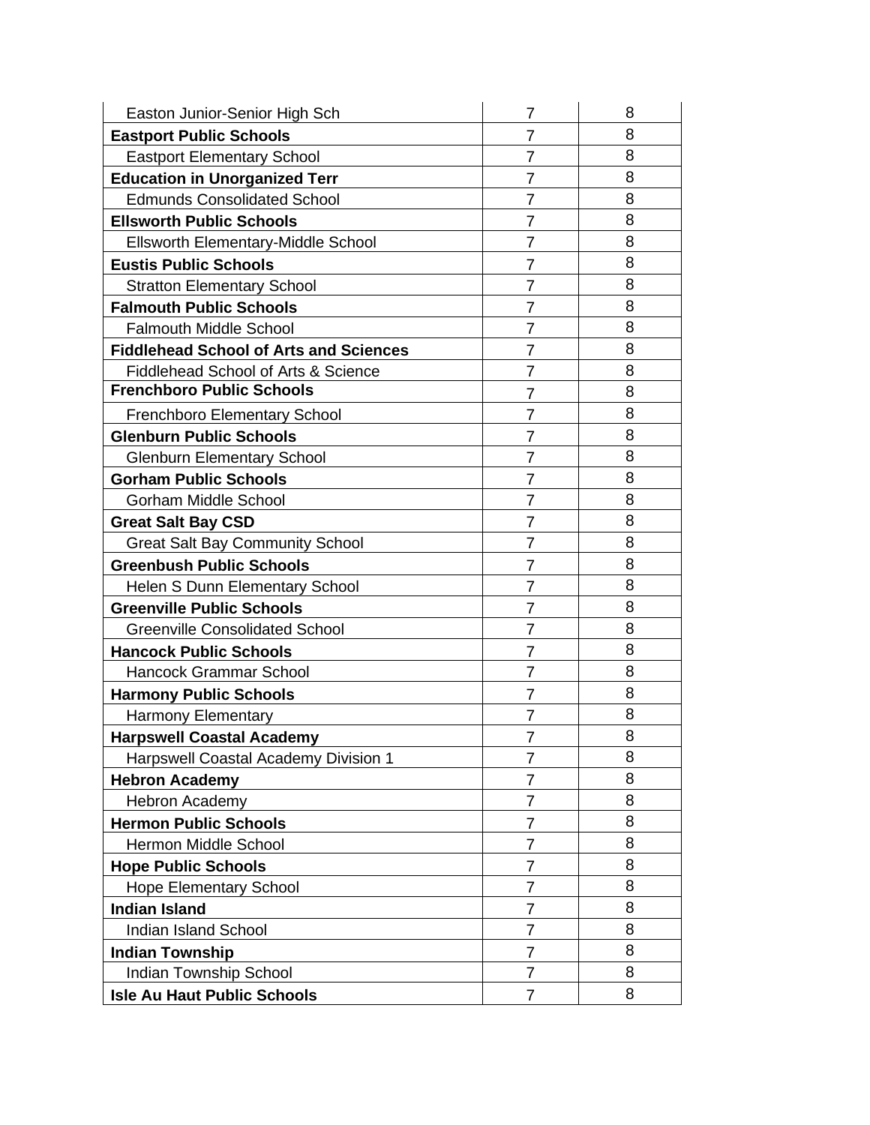| Easton Junior-Senior High Sch                  | 7              | 8 |
|------------------------------------------------|----------------|---|
| <b>Eastport Public Schools</b>                 | 7              | 8 |
| <b>Eastport Elementary School</b>              | $\overline{7}$ | 8 |
| <b>Education in Unorganized Terr</b>           | $\overline{7}$ | 8 |
| <b>Edmunds Consolidated School</b>             | $\overline{7}$ | 8 |
| <b>Ellsworth Public Schools</b>                | $\overline{7}$ | 8 |
| <b>Ellsworth Elementary-Middle School</b>      | $\overline{7}$ | 8 |
| <b>Eustis Public Schools</b>                   | 7              | 8 |
| <b>Stratton Elementary School</b>              | $\overline{7}$ | 8 |
| <b>Falmouth Public Schools</b>                 | $\overline{7}$ | 8 |
| <b>Falmouth Middle School</b>                  | $\overline{7}$ | 8 |
| <b>Fiddlehead School of Arts and Sciences</b>  | 7              | 8 |
| <b>Fiddlehead School of Arts &amp; Science</b> | $\overline{7}$ | 8 |
| <b>Frenchboro Public Schools</b>               | $\overline{7}$ | 8 |
| Frenchboro Elementary School                   | 7              | 8 |
| <b>Glenburn Public Schools</b>                 | $\overline{7}$ | 8 |
| <b>Glenburn Elementary School</b>              | $\overline{7}$ | 8 |
| <b>Gorham Public Schools</b>                   | 7              | 8 |
| <b>Gorham Middle School</b>                    | 7              | 8 |
| <b>Great Salt Bay CSD</b>                      | $\overline{7}$ | 8 |
| <b>Great Salt Bay Community School</b>         | 7              | 8 |
| <b>Greenbush Public Schools</b>                | $\overline{7}$ | 8 |
| <b>Helen S Dunn Elementary School</b>          | 7              | 8 |
| <b>Greenville Public Schools</b>               | $\overline{7}$ | 8 |
| <b>Greenville Consolidated School</b>          | $\overline{7}$ | 8 |
| <b>Hancock Public Schools</b>                  | $\overline{7}$ | 8 |
| <b>Hancock Grammar School</b>                  | $\overline{7}$ | 8 |
| <b>Harmony Public Schools</b>                  | 7              | 8 |
| <b>Harmony Elementary</b>                      | 7              | 8 |
| <b>Harpswell Coastal Academy</b>               | 7              | 8 |
| <b>Harpswell Coastal Academy Division 1</b>    | $\overline{7}$ | 8 |
| <b>Hebron Academy</b>                          | $\overline{7}$ | 8 |
| Hebron Academy                                 | 7              | 8 |
| <b>Hermon Public Schools</b>                   | $\overline{7}$ | 8 |
| Hermon Middle School                           | $\overline{7}$ | 8 |
| <b>Hope Public Schools</b>                     | 7              | 8 |
| <b>Hope Elementary School</b>                  | $\overline{7}$ | 8 |
| <b>Indian Island</b>                           | $\overline{7}$ | 8 |
| <b>Indian Island School</b>                    | 7              | 8 |
| <b>Indian Township</b>                         | $\overline{7}$ | 8 |
| Indian Township School                         | $\overline{7}$ | 8 |
| <b>Isle Au Haut Public Schools</b>             | 7              | 8 |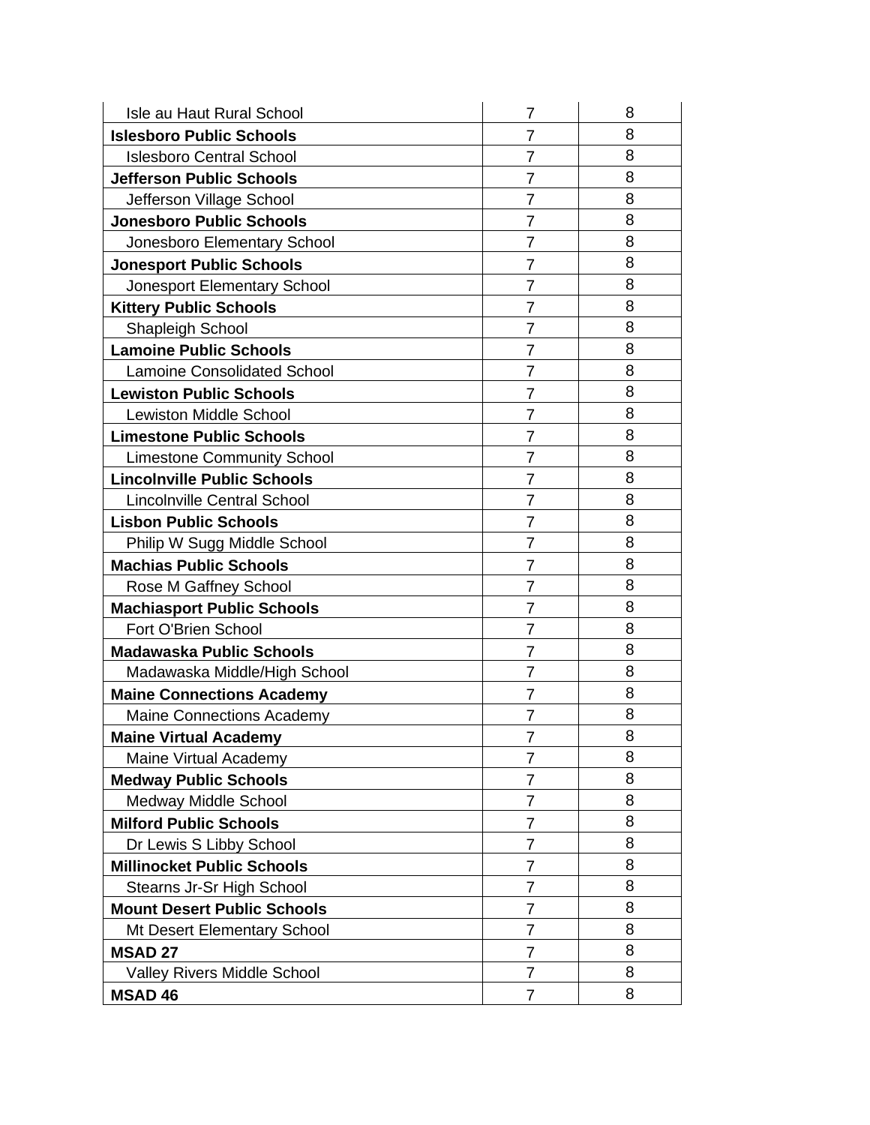| Isle au Haut Rural School          | 7              | 8 |
|------------------------------------|----------------|---|
| <b>Islesboro Public Schools</b>    | $\overline{7}$ | 8 |
| <b>Islesboro Central School</b>    | $\overline{7}$ | 8 |
| <b>Jefferson Public Schools</b>    | 7              | 8 |
| Jefferson Village School           | $\overline{7}$ | 8 |
| <b>Jonesboro Public Schools</b>    | 7              | 8 |
| Jonesboro Elementary School        | $\overline{7}$ | 8 |
| <b>Jonesport Public Schools</b>    | $\overline{7}$ | 8 |
| Jonesport Elementary School        | $\overline{7}$ | 8 |
| <b>Kittery Public Schools</b>      | 7              | 8 |
| <b>Shapleigh School</b>            | $\overline{7}$ | 8 |
| <b>Lamoine Public Schools</b>      | $\overline{7}$ | 8 |
| <b>Lamoine Consolidated School</b> | $\overline{7}$ | 8 |
| <b>Lewiston Public Schools</b>     | 7              | 8 |
| <b>Lewiston Middle School</b>      | 7              | 8 |
| <b>Limestone Public Schools</b>    | $\overline{7}$ | 8 |
| <b>Limestone Community School</b>  | $\overline{7}$ | 8 |
| <b>Lincolnville Public Schools</b> | $\overline{7}$ | 8 |
| <b>Lincolnville Central School</b> | $\overline{7}$ | 8 |
| <b>Lisbon Public Schools</b>       | $\overline{7}$ | 8 |
| Philip W Sugg Middle School        | $\overline{7}$ | 8 |
| <b>Machias Public Schools</b>      | $\overline{7}$ | 8 |
| Rose M Gaffney School              | $\overline{7}$ | 8 |
| <b>Machiasport Public Schools</b>  | $\overline{7}$ | 8 |
| Fort O'Brien School                | $\overline{7}$ | 8 |
| <b>Madawaska Public Schools</b>    | $\overline{7}$ | 8 |
| Madawaska Middle/High School       | $\overline{7}$ | 8 |
| <b>Maine Connections Academy</b>   | $\overline{7}$ | 8 |
| <b>Maine Connections Academy</b>   | $\overline{7}$ | 8 |
| <b>Maine Virtual Academy</b>       | $\overline{7}$ | 8 |
| Maine Virtual Academy              | 7              | 8 |
| <b>Medway Public Schools</b>       | $\overline{7}$ | 8 |
| Medway Middle School               | 7              | 8 |
| <b>Milford Public Schools</b>      | $\overline{7}$ | 8 |
| Dr Lewis S Libby School            | 7              | 8 |
| <b>Millinocket Public Schools</b>  | $\overline{7}$ | 8 |
| Stearns Jr-Sr High School          | 7              | 8 |
| <b>Mount Desert Public Schools</b> | 7              | 8 |
| <b>Mt Desert Elementary School</b> | 7              | 8 |
| <b>MSAD 27</b>                     | 7              | 8 |
| <b>Valley Rivers Middle School</b> | $\overline{7}$ | 8 |
| <b>MSAD 46</b>                     | $\overline{7}$ | 8 |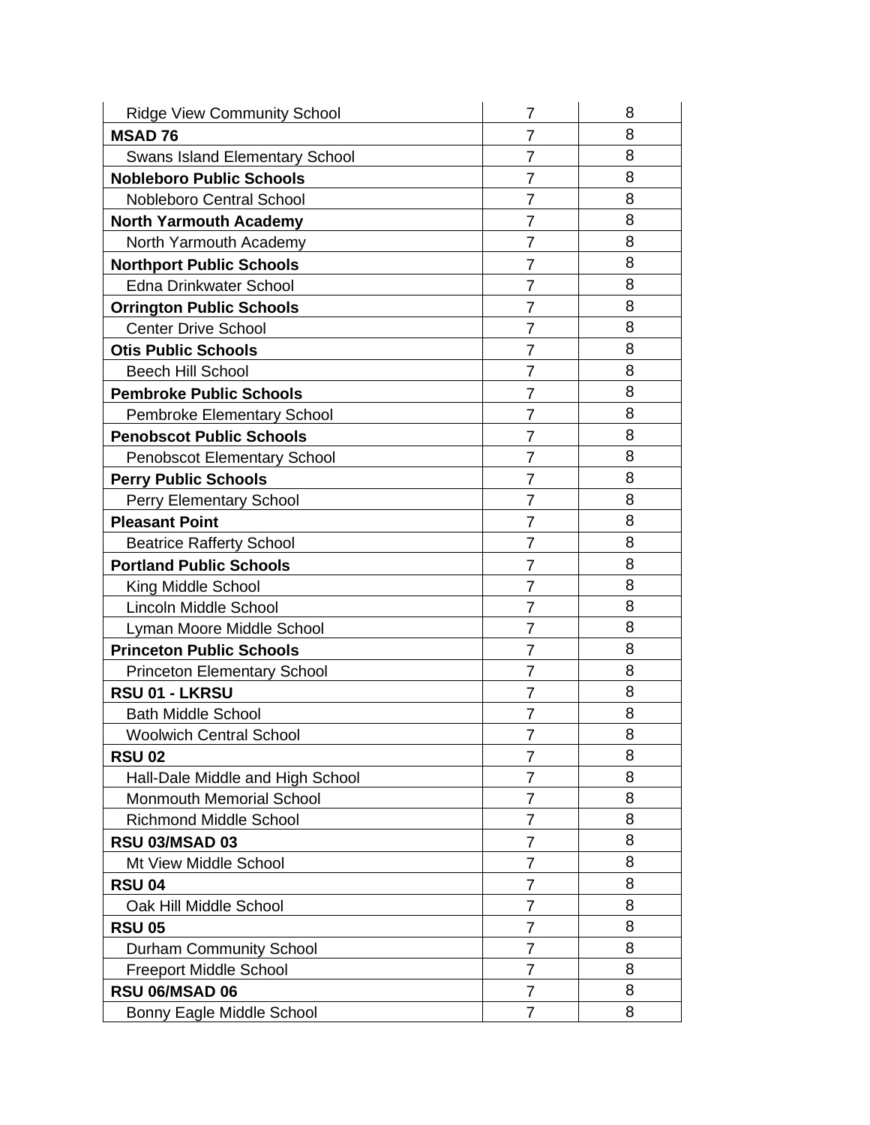| <b>Ridge View Community School</b>    | 7              | 8 |
|---------------------------------------|----------------|---|
| <b>MSAD76</b>                         | $\overline{7}$ | 8 |
| <b>Swans Island Elementary School</b> | $\overline{7}$ | 8 |
| <b>Nobleboro Public Schools</b>       | 7              | 8 |
| <b>Nobleboro Central School</b>       | $\overline{7}$ | 8 |
| <b>North Yarmouth Academy</b>         | 7              | 8 |
| North Yarmouth Academy                | $\overline{7}$ | 8 |
| <b>Northport Public Schools</b>       | $\overline{7}$ | 8 |
| <b>Edna Drinkwater School</b>         | $\overline{7}$ | 8 |
| <b>Orrington Public Schools</b>       | 7              | 8 |
| <b>Center Drive School</b>            | $\overline{7}$ | 8 |
| <b>Otis Public Schools</b>            | 7              | 8 |
| <b>Beech Hill School</b>              | 7              | 8 |
| <b>Pembroke Public Schools</b>        | 7              | 8 |
| <b>Pembroke Elementary School</b>     | 7              | 8 |
| <b>Penobscot Public Schools</b>       | 7              | 8 |
| <b>Penobscot Elementary School</b>    | $\overline{7}$ | 8 |
| <b>Perry Public Schools</b>           | $\overline{7}$ | 8 |
| <b>Perry Elementary School</b>        | $\overline{7}$ | 8 |
| <b>Pleasant Point</b>                 | $\overline{7}$ | 8 |
| <b>Beatrice Rafferty School</b>       | $\overline{7}$ | 8 |
| <b>Portland Public Schools</b>        | $\overline{7}$ | 8 |
| King Middle School                    | $\overline{7}$ | 8 |
| Lincoln Middle School                 | $\overline{7}$ | 8 |
| Lyman Moore Middle School             | $\overline{7}$ | 8 |
| <b>Princeton Public Schools</b>       | $\overline{7}$ | 8 |
| <b>Princeton Elementary School</b>    | $\overline{7}$ | 8 |
| RSU 01 - LKRSU                        | $\overline{7}$ | 8 |
| <b>Bath Middle School</b>             | $\overline{7}$ | 8 |
| <b>Woolwich Central School</b>        | 7              | 8 |
| <b>RSU 02</b>                         | 7              | 8 |
| Hall-Dale Middle and High School      | 7              | 8 |
| <b>Monmouth Memorial School</b>       | $\overline{7}$ | 8 |
| <b>Richmond Middle School</b>         | 7              | 8 |
| <b>RSU 03/MSAD 03</b>                 | 7              | 8 |
| Mt View Middle School                 | 7              | 8 |
| <b>RSU 04</b>                         | 7              | 8 |
| Oak Hill Middle School                | 7              | 8 |
| <b>RSU 05</b>                         | 7              | 8 |
| <b>Durham Community School</b>        | $\overline{7}$ | 8 |
| <b>Freeport Middle School</b>         | $\overline{7}$ | 8 |
| RSU 06/MSAD 06                        | $\overline{7}$ | 8 |
| Bonny Eagle Middle School             | $\overline{7}$ | 8 |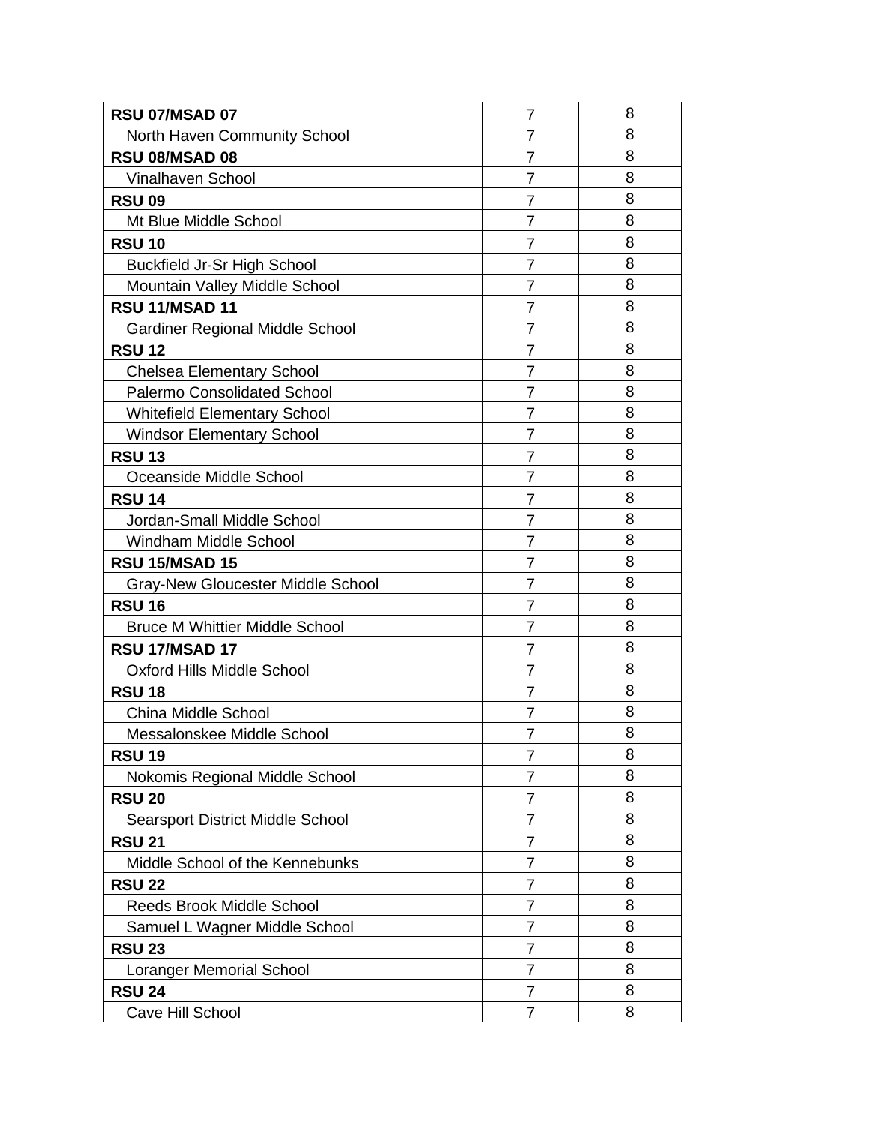| RSU 07/MSAD 07                           | 7              | 8 |
|------------------------------------------|----------------|---|
| <b>North Haven Community School</b>      | $\overline{7}$ | 8 |
| RSU 08/MSAD 08                           | $\overline{7}$ | 8 |
| Vinalhaven School                        | $\overline{7}$ | 8 |
| <b>RSU 09</b>                            | $\overline{7}$ | 8 |
| Mt Blue Middle School                    | 7              | 8 |
| <b>RSU 10</b>                            | $\overline{7}$ | 8 |
| <b>Buckfield Jr-Sr High School</b>       | $\overline{7}$ | 8 |
| Mountain Valley Middle School            | $\overline{7}$ | 8 |
| <b>RSU 11/MSAD 11</b>                    | $\overline{7}$ | 8 |
| <b>Gardiner Regional Middle School</b>   | $\overline{7}$ | 8 |
| <b>RSU 12</b>                            | 7              | 8 |
| <b>Chelsea Elementary School</b>         | $\overline{7}$ | 8 |
| <b>Palermo Consolidated School</b>       | $\overline{7}$ | 8 |
| <b>Whitefield Elementary School</b>      | $\overline{7}$ | 8 |
| <b>Windsor Elementary School</b>         | $\overline{7}$ | 8 |
| <b>RSU 13</b>                            | $\overline{7}$ | 8 |
| Oceanside Middle School                  | $\overline{7}$ | 8 |
| <b>RSU 14</b>                            | $\overline{7}$ | 8 |
| Jordan-Small Middle School               | $\overline{7}$ | 8 |
| Windham Middle School                    | $\overline{7}$ | 8 |
| <b>RSU 15/MSAD 15</b>                    | $\overline{7}$ | 8 |
| <b>Gray-New Gloucester Middle School</b> | $\overline{7}$ | 8 |
| <b>RSU 16</b>                            | 7              | 8 |
| <b>Bruce M Whittier Middle School</b>    | $\overline{7}$ | 8 |
| <b>RSU 17/MSAD 17</b>                    | $\overline{7}$ | 8 |
| <b>Oxford Hills Middle School</b>        | 7              | 8 |
| <b>RSU 18</b>                            | $\overline{7}$ | 8 |
| China Middle School                      | $\overline{7}$ | 8 |
| Messalonskee Middle School               | 7              | 8 |
| <b>RSU 19</b>                            | $\overline{7}$ | 8 |
| Nokomis Regional Middle School           | 7              | 8 |
| <b>RSU 20</b>                            | 7              | 8 |
| <b>Searsport District Middle School</b>  | 7              | 8 |
| <b>RSU 21</b>                            | 7              | 8 |
| Middle School of the Kennebunks          | 7              | 8 |
| <b>RSU 22</b>                            | 7              | 8 |
| <b>Reeds Brook Middle School</b>         | 7              | 8 |
| Samuel L Wagner Middle School            | 7              | 8 |
| <b>RSU 23</b>                            | 7              | 8 |
| <b>Loranger Memorial School</b>          | 7              | 8 |
| <b>RSU 24</b>                            | 7              | 8 |
| Cave Hill School                         | 7              | 8 |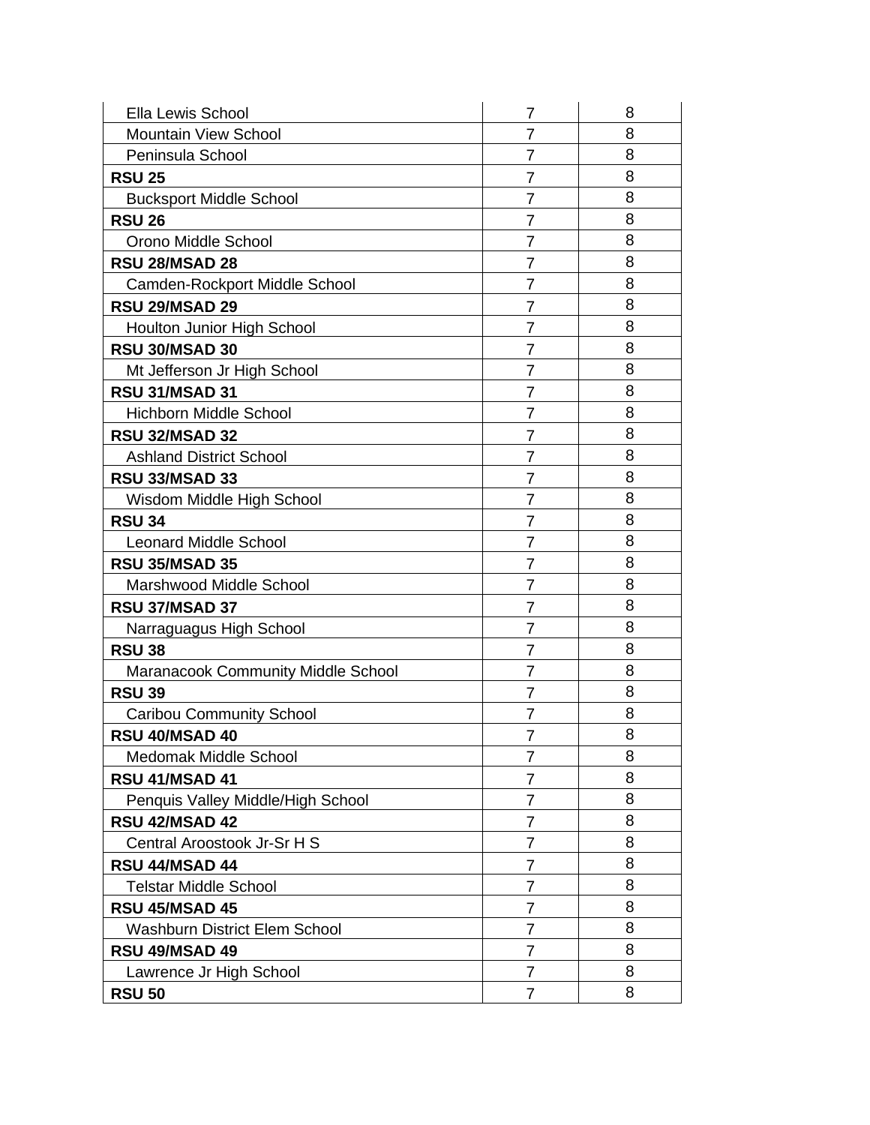| <b>Ella Lewis School</b>                  | 7              | 8 |
|-------------------------------------------|----------------|---|
| <b>Mountain View School</b>               | 7              | 8 |
| Peninsula School                          | 7              | 8 |
| <b>RSU 25</b>                             | $\overline{7}$ | 8 |
| <b>Bucksport Middle School</b>            | 7              | 8 |
| <b>RSU 26</b>                             | 7              | 8 |
| Orono Middle School                       | $\overline{7}$ | 8 |
| <b>RSU 28/MSAD 28</b>                     | 7              | 8 |
| Camden-Rockport Middle School             | $\overline{7}$ | 8 |
| <b>RSU 29/MSAD 29</b>                     | $\overline{7}$ | 8 |
| Houlton Junior High School                | $\overline{7}$ | 8 |
| <b>RSU 30/MSAD 30</b>                     | 7              | 8 |
| Mt Jefferson Jr High School               | $\overline{7}$ | 8 |
| RSU 31/MSAD 31                            | $\overline{7}$ | 8 |
| <b>Hichborn Middle School</b>             | $\overline{7}$ | 8 |
| <b>RSU 32/MSAD 32</b>                     | $\overline{7}$ | 8 |
| <b>Ashland District School</b>            | $\overline{7}$ | 8 |
| <b>RSU 33/MSAD 33</b>                     | 7              | 8 |
| Wisdom Middle High School                 | $\overline{7}$ | 8 |
| <b>RSU 34</b>                             | $\overline{7}$ | 8 |
| <b>Leonard Middle School</b>              | $\overline{7}$ | 8 |
| <b>RSU 35/MSAD 35</b>                     | 7              | 8 |
| Marshwood Middle School                   | $\overline{7}$ | 8 |
| <b>RSU 37/MSAD 37</b>                     | 7              | 8 |
| Narraguagus High School                   | $\overline{7}$ | 8 |
| <b>RSU 38</b>                             | 7              | 8 |
| <b>Maranacook Community Middle School</b> | 7              | 8 |
| <b>RSU 39</b>                             | 7              | 8 |
| <b>Caribou Community School</b>           | $\overline{7}$ | 8 |
| RSU 40/MSAD 40                            | 7              | 8 |
| <b>Medomak Middle School</b>              | $\overline{7}$ | 8 |
| <b>RSU 41/MSAD 41</b>                     | 7              | 8 |
| Penquis Valley Middle/High School         | 7              | 8 |
| <b>RSU 42/MSAD 42</b>                     | 7              | 8 |
| Central Aroostook Jr-Sr H S               | 7              | 8 |
| RSU 44/MSAD 44                            | 7              | 8 |
| <b>Telstar Middle School</b>              | 7              | 8 |
| <b>RSU 45/MSAD 45</b>                     | $\overline{7}$ | 8 |
| <b>Washburn District Elem School</b>      | 7              | 8 |
| <b>RSU 49/MSAD 49</b>                     | $\overline{7}$ | 8 |
| Lawrence Jr High School                   | 7              | 8 |
| <b>RSU 50</b>                             | 7              | 8 |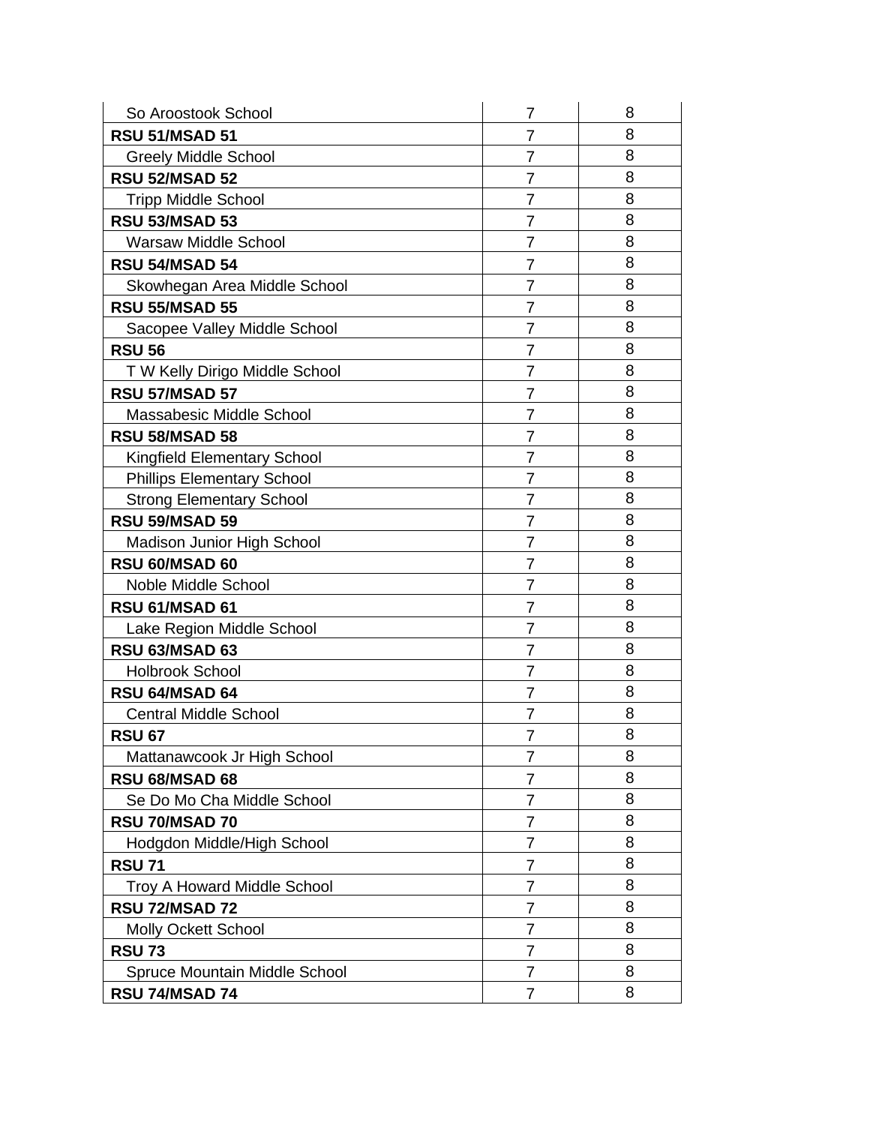| So Aroostook School                | 7              | 8 |
|------------------------------------|----------------|---|
| <b>RSU 51/MSAD 51</b>              | 7              | 8 |
| <b>Greely Middle School</b>        | $\overline{7}$ | 8 |
| <b>RSU 52/MSAD 52</b>              | $\overline{7}$ | 8 |
| <b>Tripp Middle School</b>         | $\overline{7}$ | 8 |
| <b>RSU 53/MSAD 53</b>              | 7              | 8 |
| <b>Warsaw Middle School</b>        | $\overline{7}$ | 8 |
| <b>RSU 54/MSAD 54</b>              | 7              | 8 |
| Skowhegan Area Middle School       | $\overline{7}$ | 8 |
| <b>RSU 55/MSAD 55</b>              | 7              | 8 |
| Sacopee Valley Middle School       | $\overline{7}$ | 8 |
| <b>RSU 56</b>                      | 7              | 8 |
| T W Kelly Dirigo Middle School     | $\overline{7}$ | 8 |
| <b>RSU 57/MSAD 57</b>              | 7              | 8 |
| Massabesic Middle School           | 7              | 8 |
| <b>RSU 58/MSAD 58</b>              | 7              | 8 |
| <b>Kingfield Elementary School</b> | $\overline{7}$ | 8 |
| <b>Phillips Elementary School</b>  | 7              | 8 |
| <b>Strong Elementary School</b>    | $\overline{7}$ | 8 |
| <b>RSU 59/MSAD 59</b>              | 7              | 8 |
| Madison Junior High School         | 7              | 8 |
| RSU 60/MSAD 60                     | 7              | 8 |
| Noble Middle School                | $\overline{7}$ | 8 |
| RSU 61/MSAD 61                     | 7              | 8 |
| Lake Region Middle School          | $\overline{7}$ | 8 |
| <b>RSU 63/MSAD 63</b>              | 7              | 8 |
| <b>Holbrook School</b>             | 7              | 8 |
| RSU 64/MSAD 64                     | $\overline{7}$ | 8 |
| <b>Central Middle School</b>       | 7              | 8 |
| <b>RSU 67</b>                      | 7              | 8 |
| Mattanawcook Jr High School        | 7              | 8 |
| <b>RSU 68/MSAD 68</b>              | $\overline{7}$ | 8 |
| Se Do Mo Cha Middle School         | 7              | 8 |
| RSU 70/MSAD 70                     | 7              | 8 |
| Hodgdon Middle/High School         | 7              | 8 |
| <b>RSU 71</b>                      | 7              | 8 |
| <b>Troy A Howard Middle School</b> | $\overline{7}$ | 8 |
| RSU 72/MSAD 72                     | 7              | 8 |
| Molly Ockett School                | 7              | 8 |
| <b>RSU 73</b>                      | 7              | 8 |
| Spruce Mountain Middle School      | 7              | 8 |
| RSU 74/MSAD 74                     | $\overline{7}$ | 8 |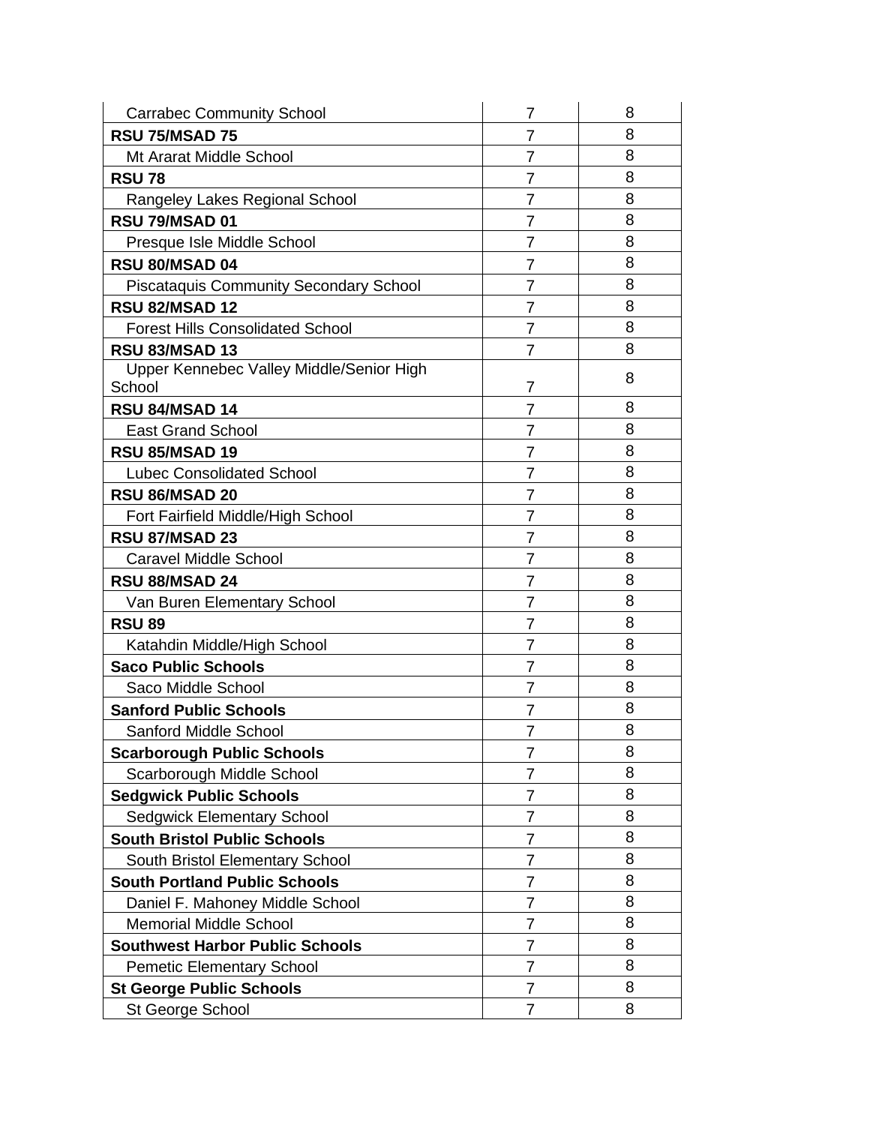| <b>Carrabec Community School</b>                   | 7              | 8 |
|----------------------------------------------------|----------------|---|
| <b>RSU 75/MSAD 75</b>                              | 7              | 8 |
| Mt Ararat Middle School                            | $\overline{7}$ | 8 |
| <b>RSU 78</b>                                      | $\overline{7}$ | 8 |
| Rangeley Lakes Regional School                     | $\overline{7}$ | 8 |
| <b>RSU 79/MSAD 01</b>                              | 7              | 8 |
| Presque Isle Middle School                         | $\overline{7}$ | 8 |
| <b>RSU 80/MSAD 04</b>                              | 7              | 8 |
| <b>Piscataquis Community Secondary School</b>      | $\overline{7}$ | 8 |
| <b>RSU 82/MSAD 12</b>                              | 7              | 8 |
| <b>Forest Hills Consolidated School</b>            | $\overline{7}$ | 8 |
| <b>RSU 83/MSAD 13</b>                              | $\overline{7}$ | 8 |
| Upper Kennebec Valley Middle/Senior High<br>School | 7              | 8 |
| <b>RSU 84/MSAD 14</b>                              | $\overline{7}$ | 8 |
| <b>East Grand School</b>                           | $\overline{7}$ | 8 |
| <b>RSU 85/MSAD 19</b>                              | $\overline{7}$ | 8 |
| <b>Lubec Consolidated School</b>                   | $\overline{7}$ | 8 |
| RSU 86/MSAD 20                                     | 7              | 8 |
| Fort Fairfield Middle/High School                  | $\overline{7}$ | 8 |
| <b>RSU 87/MSAD 23</b>                              | 7              | 8 |
| <b>Caravel Middle School</b>                       | $\overline{7}$ | 8 |
| <b>RSU 88/MSAD 24</b>                              | 7              | 8 |
| Van Buren Elementary School                        | 7              | 8 |
| <b>RSU 89</b>                                      | 7              | 8 |
| Katahdin Middle/High School                        | $\overline{7}$ | 8 |
| <b>Saco Public Schools</b>                         | 7              | 8 |
| Saco Middle School                                 | 7              | 8 |
| <b>Sanford Public Schools</b>                      | 7              | 8 |
| <b>Sanford Middle School</b>                       | $\overline{7}$ | 8 |
| <b>Scarborough Public Schools</b>                  | 7              | 8 |
| Scarborough Middle School                          | 7              | 8 |
| <b>Sedgwick Public Schools</b>                     | 7              | 8 |
| <b>Sedgwick Elementary School</b>                  | $\overline{7}$ | 8 |
| <b>South Bristol Public Schools</b>                | $\overline{7}$ | 8 |
| South Bristol Elementary School                    | 7              | 8 |
| <b>South Portland Public Schools</b>               | $\overline{7}$ | 8 |
| Daniel F. Mahoney Middle School                    | $\overline{7}$ | 8 |
| <b>Memorial Middle School</b>                      | $\overline{7}$ | 8 |
| <b>Southwest Harbor Public Schools</b>             | 7              | 8 |
| <b>Pemetic Elementary School</b>                   | $\overline{7}$ | 8 |
| <b>St George Public Schools</b>                    | 7              | 8 |
| St George School                                   | $\overline{7}$ | 8 |